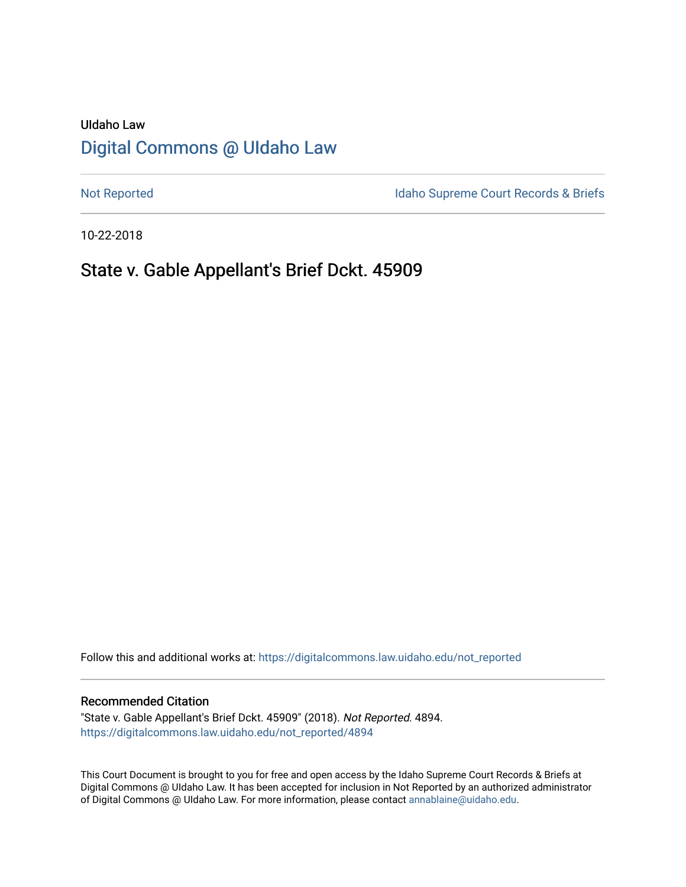# UIdaho Law [Digital Commons @ UIdaho Law](https://digitalcommons.law.uidaho.edu/)

[Not Reported](https://digitalcommons.law.uidaho.edu/not_reported) **Idaho Supreme Court Records & Briefs** 

10-22-2018

# State v. Gable Appellant's Brief Dckt. 45909

Follow this and additional works at: [https://digitalcommons.law.uidaho.edu/not\\_reported](https://digitalcommons.law.uidaho.edu/not_reported?utm_source=digitalcommons.law.uidaho.edu%2Fnot_reported%2F4894&utm_medium=PDF&utm_campaign=PDFCoverPages) 

### Recommended Citation

"State v. Gable Appellant's Brief Dckt. 45909" (2018). Not Reported. 4894. [https://digitalcommons.law.uidaho.edu/not\\_reported/4894](https://digitalcommons.law.uidaho.edu/not_reported/4894?utm_source=digitalcommons.law.uidaho.edu%2Fnot_reported%2F4894&utm_medium=PDF&utm_campaign=PDFCoverPages)

This Court Document is brought to you for free and open access by the Idaho Supreme Court Records & Briefs at Digital Commons @ UIdaho Law. It has been accepted for inclusion in Not Reported by an authorized administrator of Digital Commons @ UIdaho Law. For more information, please contact [annablaine@uidaho.edu](mailto:annablaine@uidaho.edu).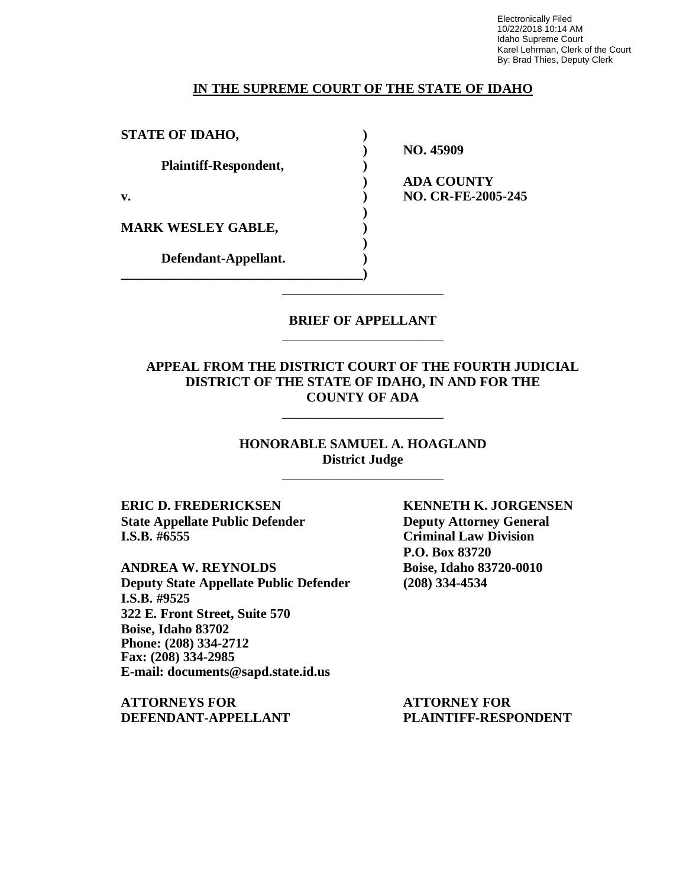Electronically Filed 10/22/2018 10:14 AM Idaho Supreme Court Karel Lehrman, Clerk of the Court By: Brad Thies, Deputy Clerk

### **IN THE SUPREME COURT OF THE STATE OF IDAHO**

| <b>STATE OF IDAHO,</b>    |                           |
|---------------------------|---------------------------|
|                           | NO. 45909                 |
| Plaintiff-Respondent,     |                           |
|                           | <b>ADA COUNTY</b>         |
| v.                        | <b>NO. CR-FE-2005-245</b> |
|                           |                           |
| <b>MARK WESLEY GABLE,</b> |                           |
|                           |                           |
| Defendant-Appellant.      |                           |
|                           |                           |

### **BRIEF OF APPELLANT** \_\_\_\_\_\_\_\_\_\_\_\_\_\_\_\_\_\_\_\_\_\_\_\_

\_\_\_\_\_\_\_\_\_\_\_\_\_\_\_\_\_\_\_\_\_\_\_\_

**APPEAL FROM THE DISTRICT COURT OF THE FOURTH JUDICIAL DISTRICT OF THE STATE OF IDAHO, IN AND FOR THE COUNTY OF ADA**

\_\_\_\_\_\_\_\_\_\_\_\_\_\_\_\_\_\_\_\_\_\_\_\_

**HONORABLE SAMUEL A. HOAGLAND District Judge** \_\_\_\_\_\_\_\_\_\_\_\_\_\_\_\_\_\_\_\_\_\_\_\_

**State Appellate Public Defender Deputy Attorney General I.S.B. #6555 Criminal Law Division**

**ANDREA W. REYNOLDS Boise, Idaho 83720-0010 Deputy State Appellate Public Defender (208) 334-4534 I.S.B. #9525 322 E. Front Street, Suite 570 Boise, Idaho 83702 Phone: (208) 334-2712 Fax: (208) 334-2985 E-mail: documents@sapd.state.id.us**

**ATTORNEYS FOR ATTORNEY FOR DEFENDANT-APPELLANT PLAINTIFF-RESPONDENT**

**ERIC D. FREDERICKSEN KENNETH K. JORGENSEN P.O. Box 83720**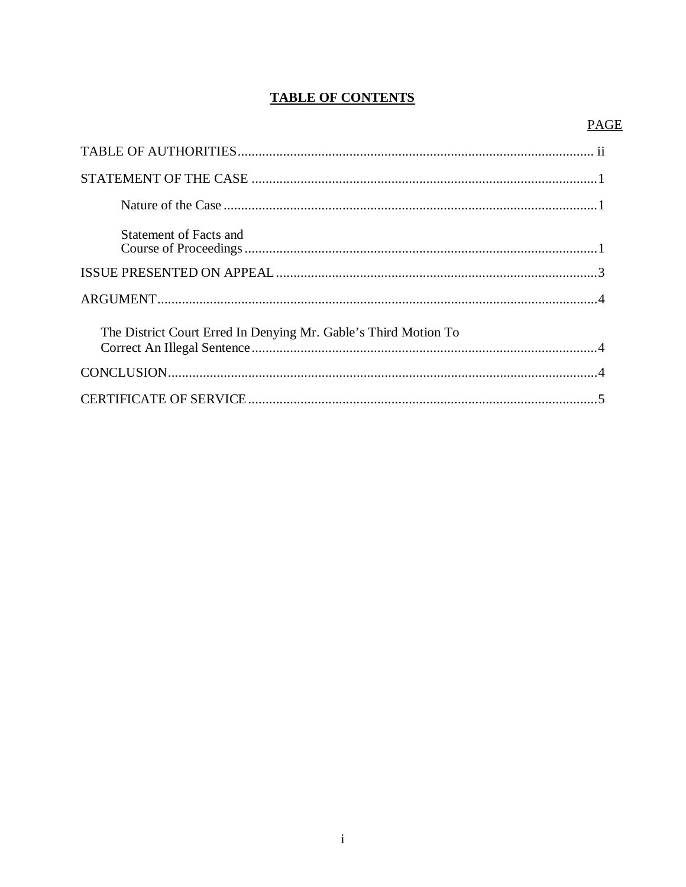## **TABLE OF CONTENTS**

### **PAGE**

| Statement of Facts and                                          |
|-----------------------------------------------------------------|
|                                                                 |
|                                                                 |
| The District Court Erred In Denying Mr. Gable's Third Motion To |
|                                                                 |
|                                                                 |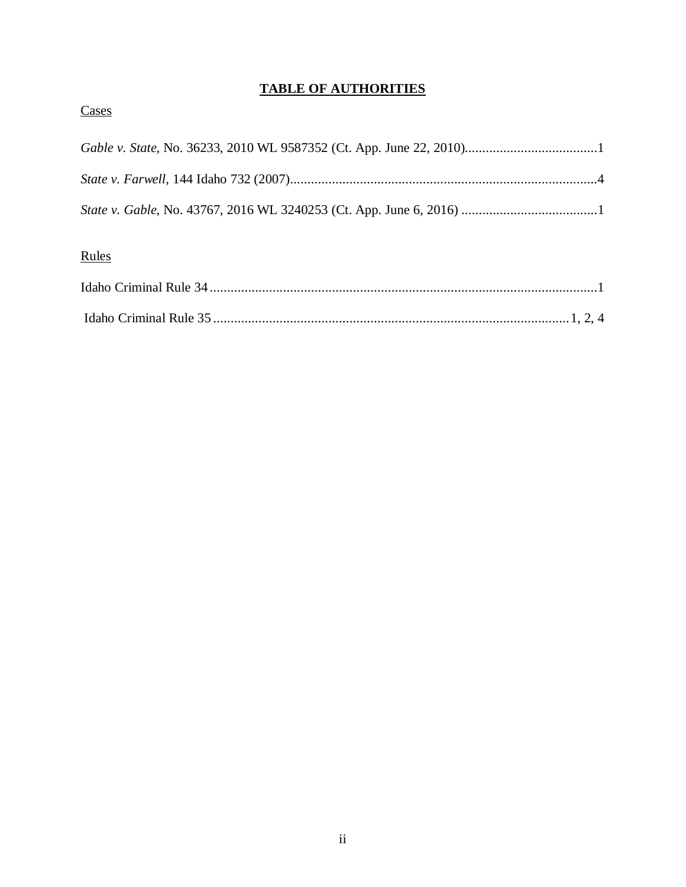## **TABLE OF AUTHORITIES**

## **Cases**

# Rules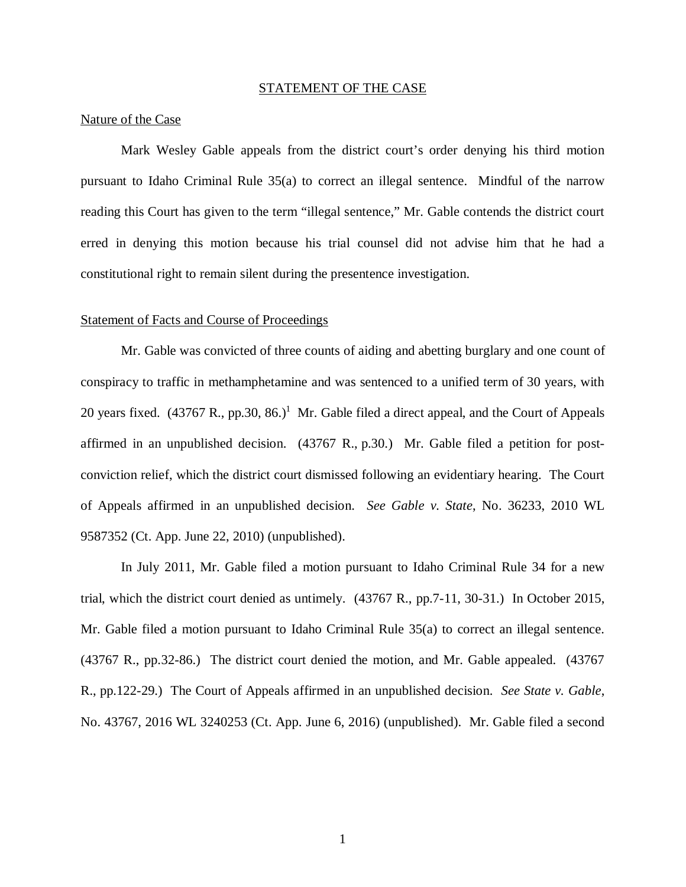### STATEMENT OF THE CASE

### Nature of the Case

Mark Wesley Gable appeals from the district court's order denying his third motion pursuant to Idaho Criminal Rule 35(a) to correct an illegal sentence. Mindful of the narrow reading this Court has given to the term "illegal sentence," Mr. Gable contends the district court erred in denying this motion because his trial counsel did not advise him that he had a constitutional right to remain silent during the presentence investigation.

### Statement of Facts and Course of Proceedings

Mr. Gable was convicted of three counts of aiding and abetting burglary and one count of conspiracy to traffic in methamphetamine and was sentenced to a unified term of 30 years, with 20 years fixed.  $(43767 \text{ R}., \text{pp.30}, 86.)$ <sup>[1](#page-4-0)</sup> Mr. Gable filed a direct appeal, and the Court of Appeals affirmed in an unpublished decision. (43767 R., p.30.) Mr. Gable filed a petition for postconviction relief, which the district court dismissed following an evidentiary hearing. The Court of Appeals affirmed in an unpublished decision. *See Gable v. State*, No. 36233, 2010 WL 9587352 (Ct. App. June 22, 2010) (unpublished).

<span id="page-4-0"></span>In July 2011, Mr. Gable filed a motion pursuant to Idaho Criminal Rule 34 for a new trial, which the district court denied as untimely. (43767 R., pp.7-11, 30-31.) In October 2015, Mr. Gable filed a motion pursuant to Idaho Criminal Rule 35(a) to correct an illegal sentence. (43767 R., pp.32-86.) The district court denied the motion, and Mr. Gable appealed. (43767 R., pp.122-29.) The Court of Appeals affirmed in an unpublished decision. *See State v. Gable*, No. 43767, 2016 WL 3240253 (Ct. App. June 6, 2016) (unpublished). Mr. Gable filed a second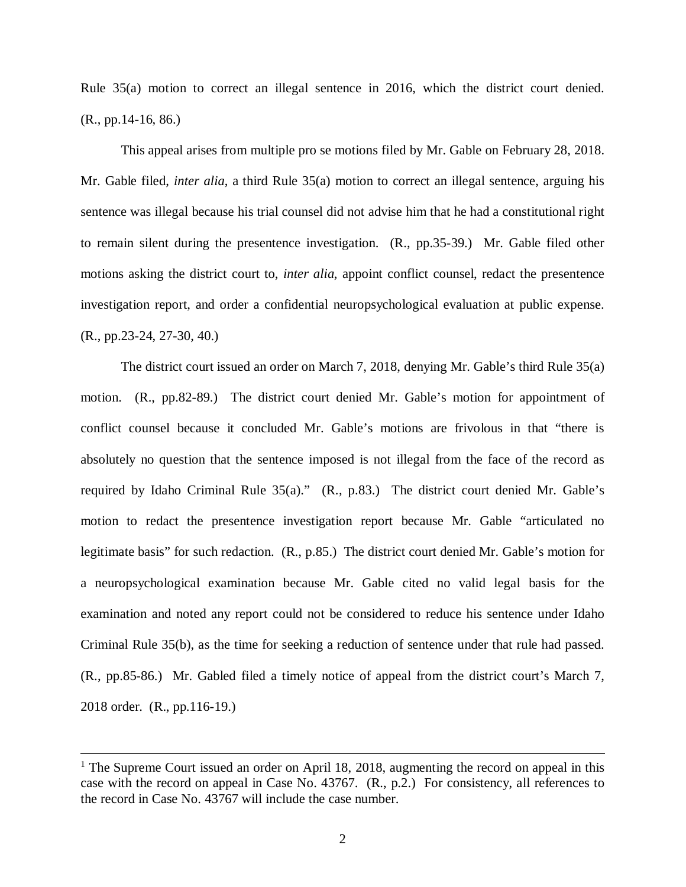Rule 35(a) motion to correct an illegal sentence in 2016, which the district court denied. (R., pp.14-16, 86.)

This appeal arises from multiple pro se motions filed by Mr. Gable on February 28, 2018. Mr. Gable filed, *inter alia*, a third Rule 35(a) motion to correct an illegal sentence, arguing his sentence was illegal because his trial counsel did not advise him that he had a constitutional right to remain silent during the presentence investigation. (R., pp.35-39.) Mr. Gable filed other motions asking the district court to, *inter alia*, appoint conflict counsel, redact the presentence investigation report, and order a confidential neuropsychological evaluation at public expense. (R., pp.23-24, 27-30, 40.)

The district court issued an order on March 7, 2018, denying Mr. Gable's third Rule 35(a) motion. (R., pp.82-89.) The district court denied Mr. Gable's motion for appointment of conflict counsel because it concluded Mr. Gable's motions are frivolous in that "there is absolutely no question that the sentence imposed is not illegal from the face of the record as required by Idaho Criminal Rule 35(a)." (R., p.83.) The district court denied Mr. Gable's motion to redact the presentence investigation report because Mr. Gable "articulated no legitimate basis" for such redaction. (R., p.85.) The district court denied Mr. Gable's motion for a neuropsychological examination because Mr. Gable cited no valid legal basis for the examination and noted any report could not be considered to reduce his sentence under Idaho Criminal Rule 35(b), as the time for seeking a reduction of sentence under that rule had passed. (R., pp.85-86.) Mr. Gabled filed a timely notice of appeal from the district court's March 7, 2018 order. (R., pp.116-19.)

<sup>&</sup>lt;sup>1</sup> The Supreme Court issued an order on April 18, 2018, augmenting the record on appeal in this case with the record on appeal in Case No. 43767. (R., p.2.) For consistency, all references to the record in Case No. 43767 will include the case number.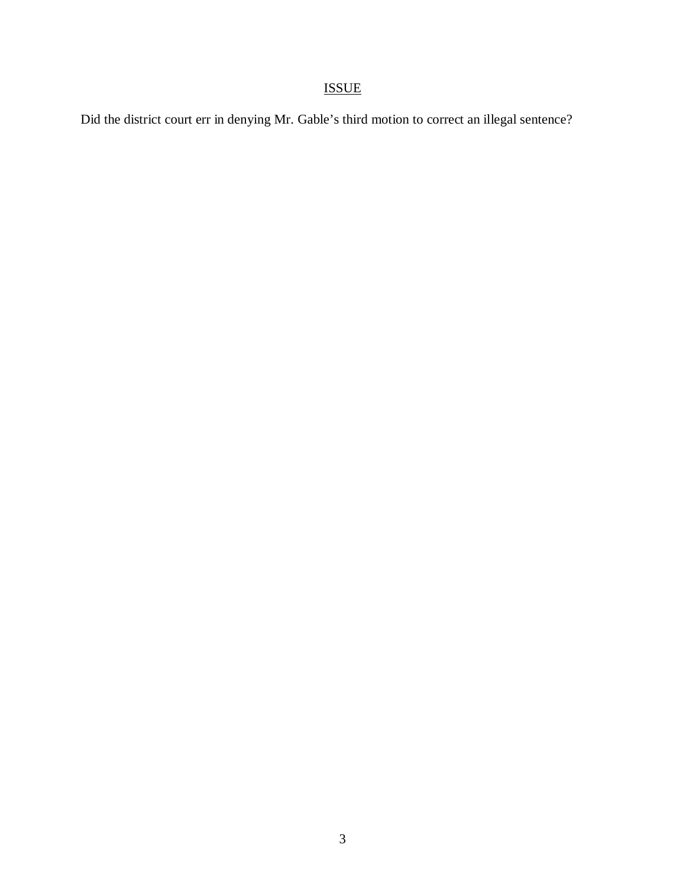# ISSUE

Did the district court err in denying Mr. Gable's third motion to correct an illegal sentence?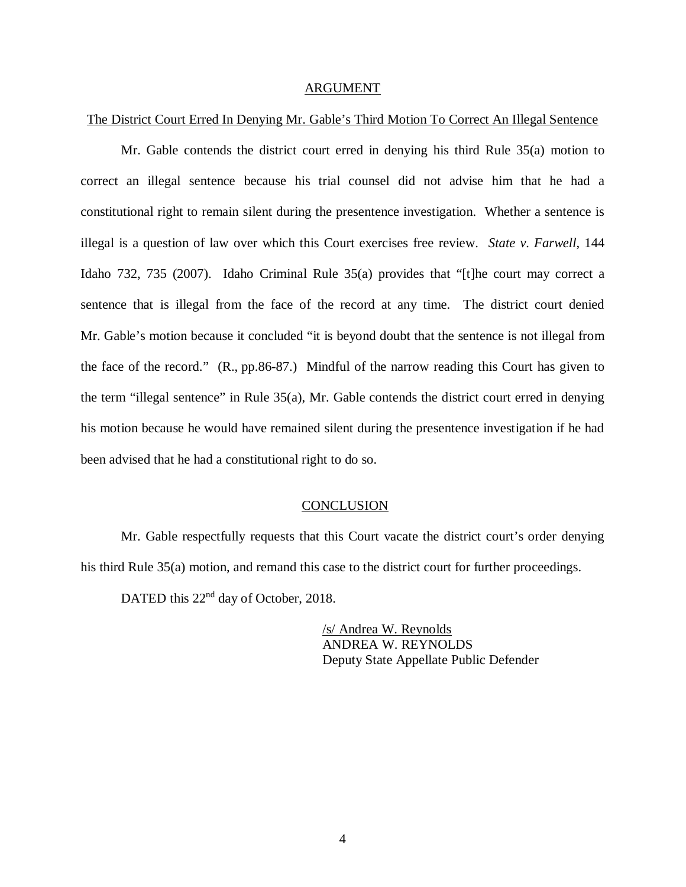#### ARGUMENT

### The District Court Erred In Denying Mr. Gable's Third Motion To Correct An Illegal Sentence

Mr. Gable contends the district court erred in denying his third Rule 35(a) motion to correct an illegal sentence because his trial counsel did not advise him that he had a constitutional right to remain silent during the presentence investigation. Whether a sentence is illegal is a question of law over which this Court exercises free review. *State v. Farwell*, 144 Idaho 732, 735 (2007). Idaho Criminal Rule 35(a) provides that "[t]he court may correct a sentence that is illegal from the face of the record at any time. The district court denied Mr. Gable's motion because it concluded "it is beyond doubt that the sentence is not illegal from the face of the record." (R., pp.86-87.) Mindful of the narrow reading this Court has given to the term "illegal sentence" in Rule 35(a), Mr. Gable contends the district court erred in denying his motion because he would have remained silent during the presentence investigation if he had been advised that he had a constitutional right to do so.

### **CONCLUSION**

Mr. Gable respectfully requests that this Court vacate the district court's order denying his third Rule 35(a) motion, and remand this case to the district court for further proceedings.

DATED this 22<sup>nd</sup> day of October, 2018.

/s/ Andrea W. Reynolds ANDREA W. REYNOLDS Deputy State Appellate Public Defender